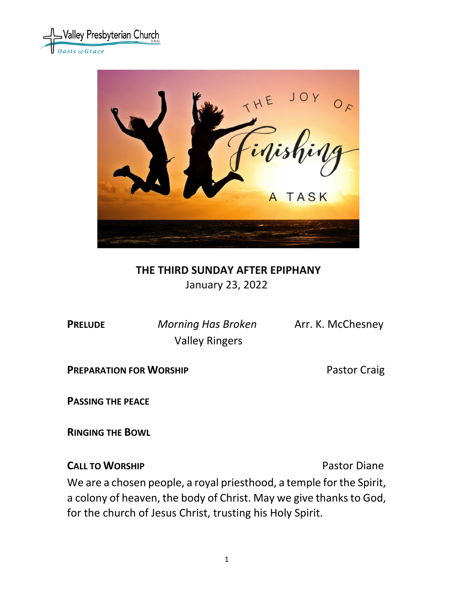



# **THE THIRD SUNDAY AFTER EPIPHANY** January 23, 2022

**PRELUDE** *Morning Has Broken* **Arr. K. McChesney** Valley Ringers

**PREPARATION FOR WORSHIP** Pastor Craig

**PASSING THE PEACE**

**RINGING THE BOWL** 

**CALL TO WORSHIP**  Pastor Diane

We are a chosen people, a royal priesthood, a temple for the Spirit, a colony of heaven, the body of Christ. May we give thanks to God, for the church of Jesus Christ, trusting his Holy Spirit.

1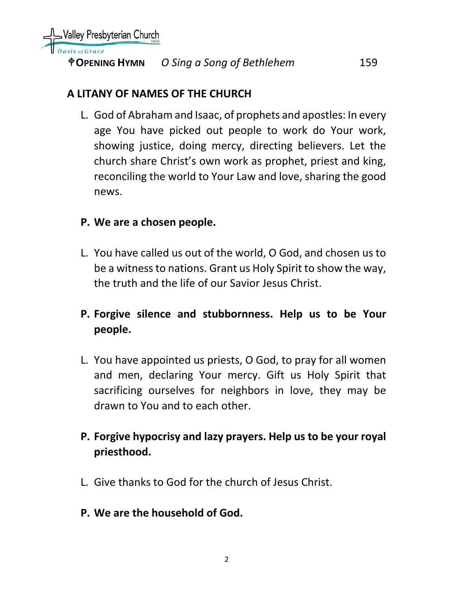

# **A LITANY OF NAMES OF THE CHURCH**

L. God of Abraham and Isaac, of prophets and apostles: In every age You have picked out people to work do Your work, showing justice, doing mercy, directing believers. Let the church share Christ's own work as prophet, priest and king, reconciling the world to Your Law and love, sharing the good news.

#### **P. We are a chosen people.**

L. You have called us out of the world, O God, and chosen us to be a witness to nations. Grant us Holy Spirit to show the way, the truth and the life of our Savior Jesus Christ.

# **P. Forgive silence and stubbornness. Help us to be Your people.**

L. You have appointed us priests, O God, to pray for all women and men, declaring Your mercy. Gift us Holy Spirit that sacrificing ourselves for neighbors in love, they may be drawn to You and to each other.

# **P. Forgive hypocrisy and lazy prayers. Help us to be your royal priesthood.**

- L. Give thanks to God for the church of Jesus Christ.
- **P. We are the household of God.**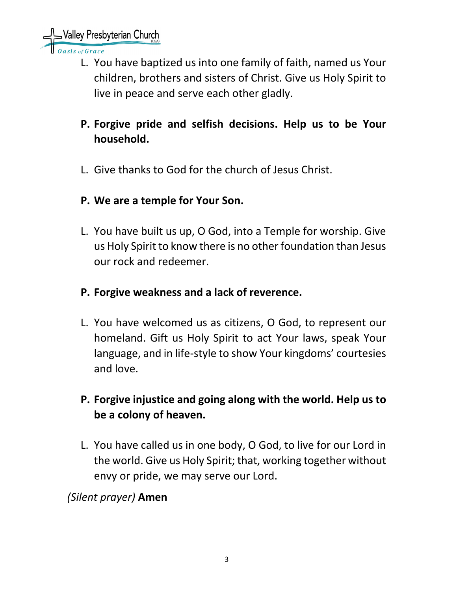

 $is \, of \, Grace$ 

- L. You have baptized us into one family of faith, named us Your children, brothers and sisters of Christ. Give us Holy Spirit to live in peace and serve each other gladly.
- **P. Forgive pride and selfish decisions. Help us to be Your household.**
- L. Give thanks to God for the church of Jesus Christ.
- **P. We are a temple for Your Son.**
- L. You have built us up, O God, into a Temple for worship. Give us Holy Spirit to know there is no other foundation than Jesus our rock and redeemer.
- **P. Forgive weakness and a lack of reverence.**
- L. You have welcomed us as citizens, O God, to represent our homeland. Gift us Holy Spirit to act Your laws, speak Your language, and in life-style to show Your kingdoms' courtesies and love.
- **P. Forgive injustice and going along with the world. Help us to be a colony of heaven.**
- L. You have called us in one body, O God, to live for our Lord in the world. Give us Holy Spirit; that, working together without envy or pride, we may serve our Lord.

# *(Silent prayer)* **Amen**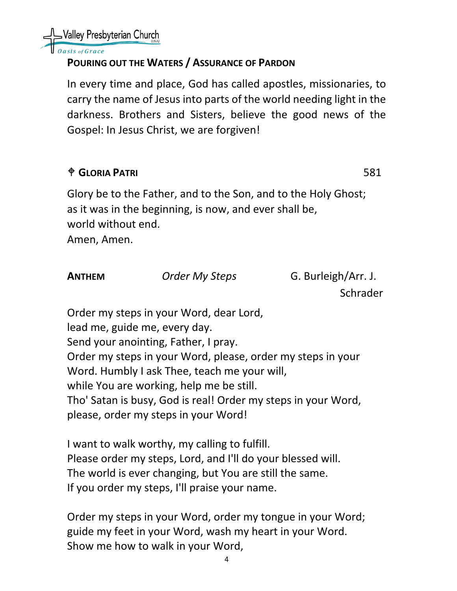sis of Grace

# **POURING OUT THE WATERS / ASSURANCE OF PARDON**

In every time and place, God has called apostles, missionaries, to carry the name of Jesus into parts of the world needing light in the darkness. Brothers and Sisters, believe the good news of the Gospel: In Jesus Christ, we are forgiven!

# <sup> $\phi$ </sup> Gloria Patri

Glory be to the Father, and to the Son, and to the Holy Ghost; as it was in the beginning, is now, and ever shall be, world without end. Amen, Amen.

**ANTHEM** *Order My Steps* G. Burleigh/Arr. J.

en de la seu de la companya de la seu de la seu de la seu de la seu de la seu de la seu de la seu de la seu de

Order my steps in your Word, dear Lord, lead me, guide me, every day. Send your anointing, Father, I pray. Order my steps in your Word, please, order my steps in your Word. Humbly I ask Thee, teach me your will, while You are working, help me be still. Tho' Satan is busy, God is real! Order my steps in your Word, please, order my steps in your Word!

I want to walk worthy, my calling to fulfill. Please order my steps, Lord, and I'll do your blessed will. The world is ever changing, but You are still the same. If you order my steps, I'll praise your name.

Order my steps in your Word, order my tongue in your Word; guide my feet in your Word, wash my heart in your Word. Show me how to walk in your Word,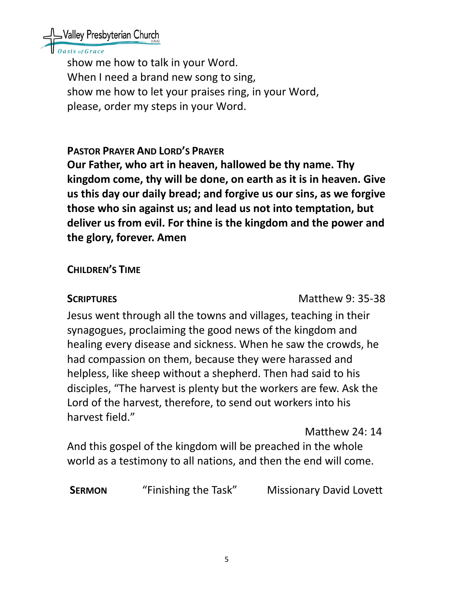

#### asis of Grace

show me how to talk in your Word. When I need a brand new song to sing, show me how to let your praises ring, in your Word, please, order my steps in your Word.

#### **PASTOR PRAYER AND LORD'S PRAYER**

**Our Father, who art in heaven, hallowed be thy name. Thy kingdom come, thy will be done, on earth as it is in heaven. Give us this day our daily bread; and forgive us our sins, as we forgive those who sin against us; and lead us not into temptation, but deliver us from evil. For thine is the kingdom and the power and the glory, forever. Amen**

#### **CHILDREN'S TIME**

#### **SCRIPTURES** Matthew 9: 35-38

Jesus went through all the towns and villages, teaching in their synagogues, proclaiming the good news of the kingdom and healing every disease and sickness. When he saw the crowds, he had compassion on them, because they were harassed and helpless, like sheep without a shepherd. Then had said to his disciples, "The harvest is plenty but the workers are few. Ask the Lord of the harvest, therefore, to send out workers into his harvest field."

#### Matthew 24: 14

And this gospel of the kingdom will be preached in the whole world as a testimony to all nations, and then the end will come.

| <b>SERMON</b> | "Finishing the Task" | <b>Missionary David Lovett</b> |
|---------------|----------------------|--------------------------------|
|---------------|----------------------|--------------------------------|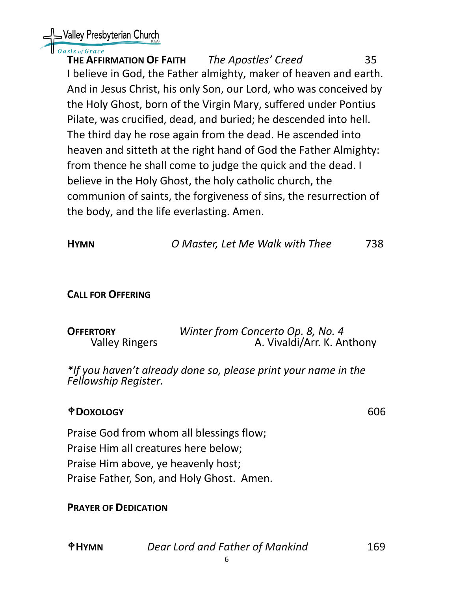SValley Presbyterian Church

#### asis of Grace

**THE AFFIRMATION OF FAITH** *The Apostles' Creed* 35 I believe in God, the Father almighty, maker of heaven and earth. And in Jesus Christ, his only Son, our Lord, who was conceived by the Holy Ghost, born of the Virgin Mary, suffered under Pontius Pilate, was crucified, dead, and buried; he descended into hell. The third day he rose again from the dead. He ascended into heaven and sitteth at the right hand of God the Father Almighty: from thence he shall come to judge the quick and the dead. I believe in the Holy Ghost, the holy catholic church, the communion of saints, the forgiveness of sins, the resurrection of the body, and the life everlasting. Amen.

| <b>HYMN</b> | O Master, Let Me Walk with Thee | 738 |
|-------------|---------------------------------|-----|
|             |                                 |     |

**CALL FOR OFFERING**

| <b>OFFERTORY</b>      | Winter from Concerto Op. 8, No. 4 |
|-----------------------|-----------------------------------|
| <b>Valley Ringers</b> | A. Vivaldi/Arr. K. Anthony        |
|                       |                                   |

*\*If you haven't already done so, please print your name in the Fellowship Register.*

### **DOXOLOGY** 606

Praise God from whom all blessings flow; Praise Him all creatures here below; Praise Him above, ye heavenly host; Praise Father, Son, and Holy Ghost. Amen.

**PRAYER OF DEDICATION**

**HYMN** *Dear Lord and Father of Mankind* 169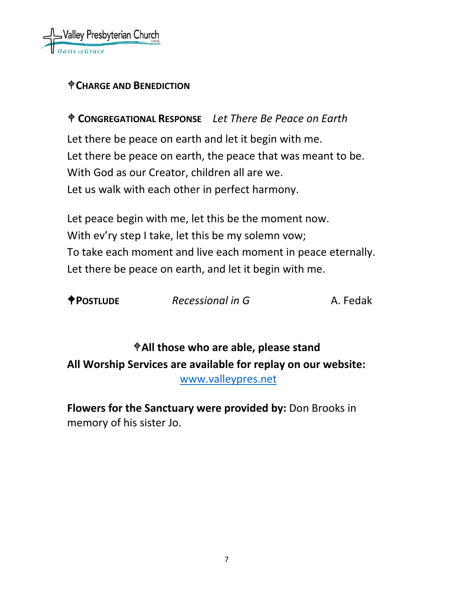

#### **CHARGE AND BENEDICTION**

## **CONGREGATIONAL RESPONSE** *Let There Be Peace on Earth*

Let there be peace on earth and let it begin with me. Let there be peace on earth, the peace that was meant to be. With God as our Creator, children all are we. Let us walk with each other in perfect harmony.

Let peace begin with me, let this be the moment now. With ev'ry step I take, let this be my solemn vow; To take each moment and live each moment in peace eternally. Let there be peace on earth, and let it begin with me.

| <b>POSTLUDE</b> | Recessional in G | A. Fedak |
|-----------------|------------------|----------|
|-----------------|------------------|----------|

**All those who are able, please stand All Worship Services are available for replay on our website:** 

[www.valleypres.net](http://www.valleypres.net/)

**Flowers for the Sanctuary were provided by:** Don Brooks in memory of his sister Jo.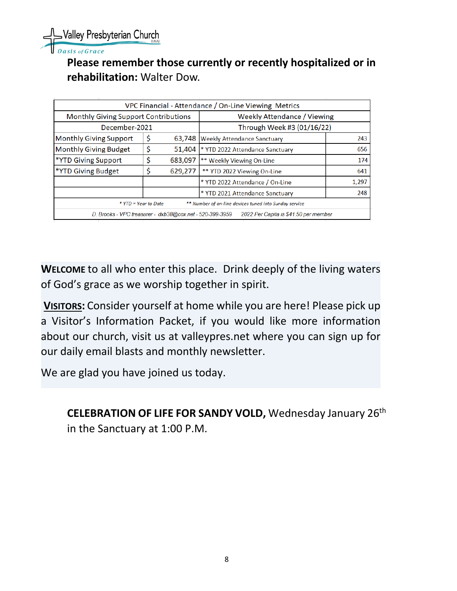SValley Presbyterian Church

sis of Grace

# **Please remember those currently or recently hospitalized or in rehabilitation:** Walter Dow.

| VPC Financial - Attendance / On-Line Viewing Metrics                                              |    |                                    |                                    |       |  |  |
|---------------------------------------------------------------------------------------------------|----|------------------------------------|------------------------------------|-------|--|--|
| <b>Monthly Giving Support Contributions</b>                                                       |    | <b>Weekly Attendance / Viewing</b> |                                    |       |  |  |
| December-2021                                                                                     |    | Through Week #3 (01/16/22)         |                                    |       |  |  |
| <b>Monthly Giving Support</b>                                                                     | \$ | 63.748                             | <b>Weekly Attendance Sanctuary</b> | 243   |  |  |
| <b>Monthly Giving Budget</b>                                                                      | \$ | 51,404                             | * YTD 2022 Attendance Sanctuary    | 656   |  |  |
| *YTD Giving Support                                                                               | \$ | 683,097                            | ** Weekly Viewing On-Line          | 174   |  |  |
| Ś<br>*YTD Giving Budget<br>629,277                                                                |    | ** YTD 2022 Viewing On-Line        | 641                                |       |  |  |
|                                                                                                   |    |                                    | * YTD 2022 Attendance / On-Line    | 1,297 |  |  |
|                                                                                                   |    |                                    | * YTD 2021 Attendance Sanctuary    | 248   |  |  |
| ** Number of on-line devices tuned into Sunday service<br>* YTD = Year to Date                    |    |                                    |                                    |       |  |  |
| D. Brooks - VPC treasurer - dxb38@cox.net - 520-399-3959<br>2022 Per Capita is \$41.50 per member |    |                                    |                                    |       |  |  |
|                                                                                                   |    |                                    |                                    |       |  |  |

**WELCOME** to all who enter this place. Drink deeply of the living waters of God's grace as we worship together in spirit.

**VISITORS:** Consider yourself at home while you are here! Please pick up a Visitor's Information Packet, if you would like more information about our church, visit us at valleypres.net where you can sign up for our daily email blasts and monthly newsletter.

We are glad you have joined us today.

# **CELEBRATION OF LIFE FOR SANDY VOLD,** Wednesday January 26th

in the Sanctuary at 1:00 P.M.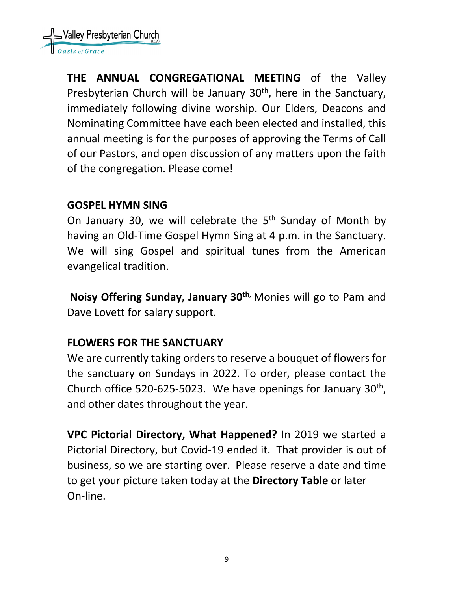SValley Presbyterian Church

**THE ANNUAL CONGREGATIONAL MEETING** of the Valley Presbyterian Church will be January 30<sup>th</sup>, here in the Sanctuary, immediately following divine worship. Our Elders, Deacons and Nominating Committee have each been elected and installed, this annual meeting is for the purposes of approving the Terms of Call of our Pastors, and open discussion of any matters upon the faith of the congregation. Please come!

#### **GOSPEL HYMN SING**

On January 30, we will celebrate the 5<sup>th</sup> Sunday of Month by having an Old-Time Gospel Hymn Sing at 4 p.m. in the Sanctuary. We will sing Gospel and spiritual tunes from the American evangelical tradition.

**Noisy Offering Sunday, January 30th,** Monies will go to Pam and Dave Lovett for salary support.

# **FLOWERS FOR THE SANCTUARY**

We are currently taking orders to reserve a bouquet of flowers for the sanctuary on Sundays in 2022. To order, please contact the Church office 520-625-5023. We have openings for January  $30<sup>th</sup>$ , and other dates throughout the year.

**VPC Pictorial Directory, What Happened?** In 2019 we started a Pictorial Directory, but Covid-19 ended it. That provider is out of business, so we are starting over. Please reserve a date and time to get your picture taken today at the **Directory Table** or later On-line.